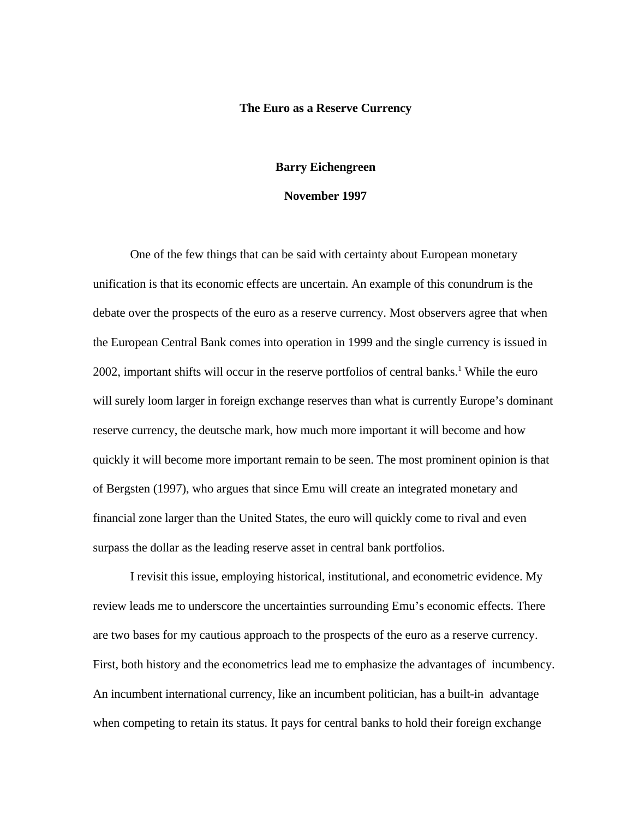#### **The Euro as a Reserve Currency**

## **Barry Eichengreen**

## **November 1997**

One of the few things that can be said with certainty about European monetary unification is that its economic effects are uncertain. An example of this conundrum is the debate over the prospects of the euro as a reserve currency. Most observers agree that when the European Central Bank comes into operation in 1999 and the single currency is issued in 2002, important shifts will occur in the reserve portfolios of central banks.<sup>1</sup> While the euro will surely loom larger in foreign exchange reserves than what is currently Europe's dominant reserve currency, the deutsche mark, how much more important it will become and how quickly it will become more important remain to be seen. The most prominent opinion is that of Bergsten (1997), who argues that since Emu will create an integrated monetary and financial zone larger than the United States, the euro will quickly come to rival and even surpass the dollar as the leading reserve asset in central bank portfolios.

I revisit this issue, employing historical, institutional, and econometric evidence. My review leads me to underscore the uncertainties surrounding Emu's economic effects. There are two bases for my cautious approach to the prospects of the euro as a reserve currency. First, both history and the econometrics lead me to emphasize the advantages of incumbency. An incumbent international currency, like an incumbent politician, has a built-in advantage when competing to retain its status. It pays for central banks to hold their foreign exchange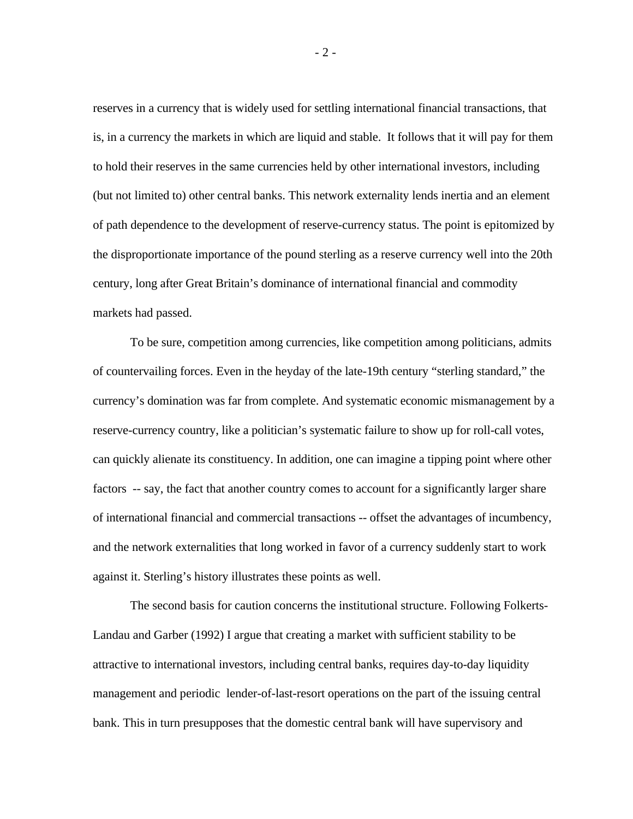reserves in a currency that is widely used for settling international financial transactions, that is, in a currency the markets in which are liquid and stable. It follows that it will pay for them to hold their reserves in the same currencies held by other international investors, including (but not limited to) other central banks. This network externality lends inertia and an element of path dependence to the development of reserve-currency status. The point is epitomized by the disproportionate importance of the pound sterling as a reserve currency well into the 20th century, long after Great Britain's dominance of international financial and commodity markets had passed.

To be sure, competition among currencies, like competition among politicians, admits of countervailing forces. Even in the heyday of the late-19th century "sterling standard," the currency's domination was far from complete. And systematic economic mismanagement by a reserve-currency country, like a politician's systematic failure to show up for roll-call votes, can quickly alienate its constituency. In addition, one can imagine a tipping point where other factors -- say, the fact that another country comes to account for a significantly larger share of international financial and commercial transactions -- offset the advantages of incumbency, and the network externalities that long worked in favor of a currency suddenly start to work against it. Sterling's history illustrates these points as well.

The second basis for caution concerns the institutional structure. Following Folkerts-Landau and Garber (1992) I argue that creating a market with sufficient stability to be attractive to international investors, including central banks, requires day-to-day liquidity management and periodic lender-of-last-resort operations on the part of the issuing central bank. This in turn presupposes that the domestic central bank will have supervisory and

- 2 -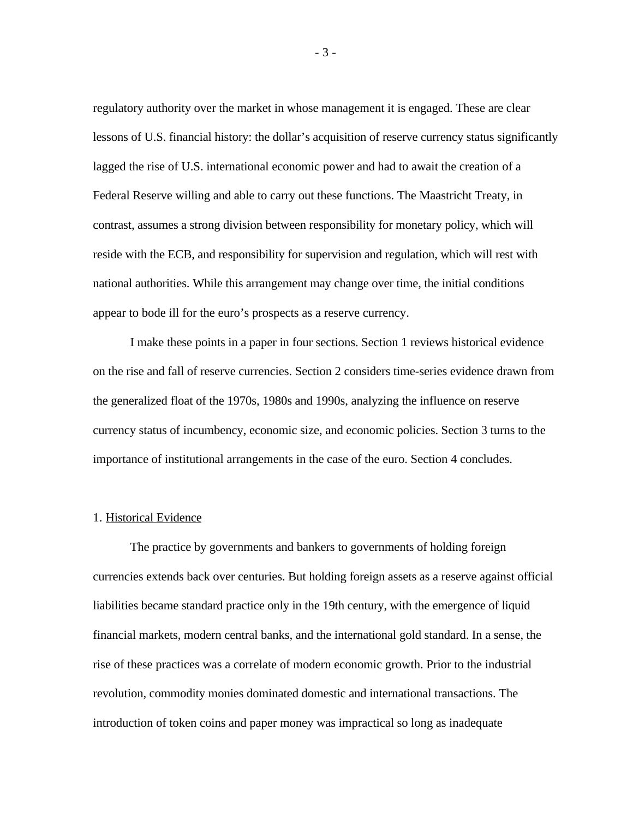regulatory authority over the market in whose management it is engaged. These are clear lessons of U.S. financial history: the dollar's acquisition of reserve currency status significantly lagged the rise of U.S. international economic power and had to await the creation of a Federal Reserve willing and able to carry out these functions. The Maastricht Treaty, in contrast, assumes a strong division between responsibility for monetary policy, which will reside with the ECB, and responsibility for supervision and regulation, which will rest with national authorities. While this arrangement may change over time, the initial conditions appear to bode ill for the euro's prospects as a reserve currency.

I make these points in a paper in four sections. Section 1 reviews historical evidence on the rise and fall of reserve currencies. Section 2 considers time-series evidence drawn from the generalized float of the 1970s, 1980s and 1990s, analyzing the influence on reserve currency status of incumbency, economic size, and economic policies. Section 3 turns to the importance of institutional arrangements in the case of the euro. Section 4 concludes.

# 1. Historical Evidence

The practice by governments and bankers to governments of holding foreign currencies extends back over centuries. But holding foreign assets as a reserve against official liabilities became standard practice only in the 19th century, with the emergence of liquid financial markets, modern central banks, and the international gold standard. In a sense, the rise of these practices was a correlate of modern economic growth. Prior to the industrial revolution, commodity monies dominated domestic and international transactions. The introduction of token coins and paper money was impractical so long as inadequate

- 3 -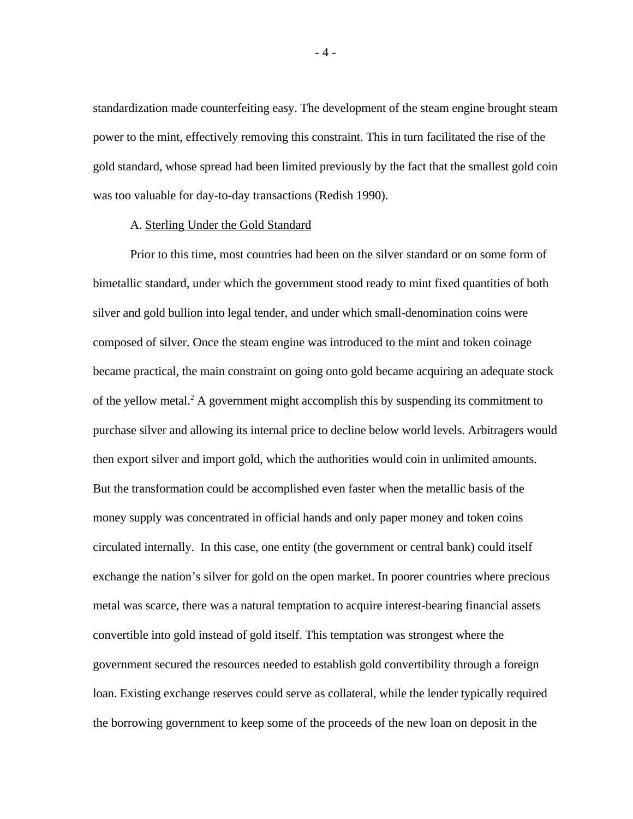standardization made counterfeiting easy. The development of the steam engine brought steam power to the mint, effectively removing this constraint. This in turn facilitated the rise of the gold standard, whose spread had been limited previously by the fact that the smallest gold coin was too valuable for day-to-day transactions (Redish 1990).

## A. Sterling Under the Gold Standard

Prior to this time, most countries had been on the silver standard or on some form of bimetallic standard, under which the government stood ready to mint fixed quantities of both silver and gold bullion into legal tender, and under which small-denomination coins were composed of silver. Once the steam engine was introduced to the mint and token coinage became practical, the main constraint on going onto gold became acquiring an adequate stock of the yellow metal.<sup>2</sup> A government might accomplish this by suspending its commitment to purchase silver and allowing its internal price to decline below world levels. Arbitragers would then export silver and import gold, which the authorities would coin in unlimited amounts. But the transformation could be accomplished even faster when the metallic basis of the money supply was concentrated in official hands and only paper money and token coins circulated internally. In this case, one entity (the government or central bank) could itself exchange the nation's silver for gold on the open market. In poorer countries where precious metal was scarce, there was a natural temptation to acquire interest-bearing financial assets convertible into gold instead of gold itself. This temptation was strongest where the government secured the resources needed to establish gold convertibility through a foreign loan. Existing exchange reserves could serve as collateral, while the lender typically required the borrowing government to keep some of the proceeds of the new loan on deposit in the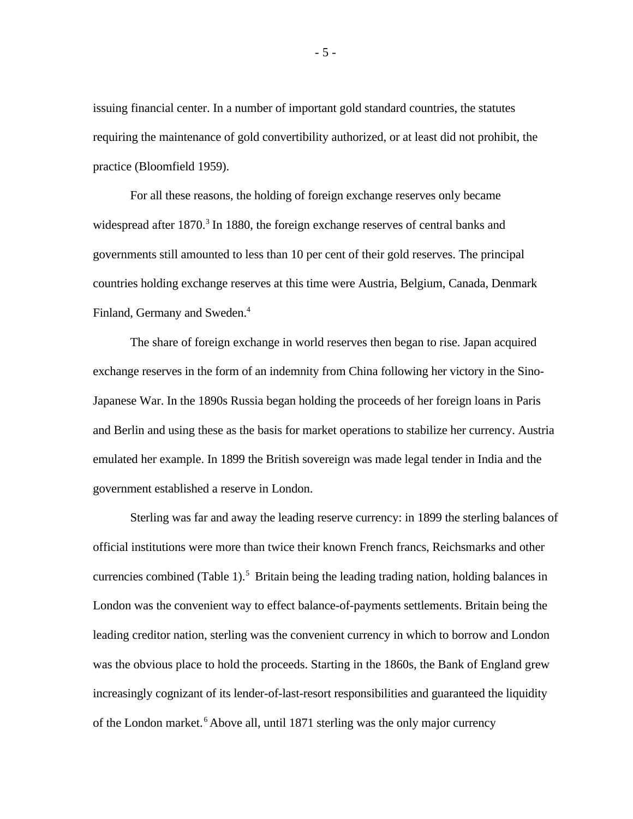issuing financial center. In a number of important gold standard countries, the statutes requiring the maintenance of gold convertibility authorized, or at least did not prohibit, the practice (Bloomfield 1959).

For all these reasons, the holding of foreign exchange reserves only became widespread after  $1870$ .<sup>3</sup> In 1880, the foreign exchange reserves of central banks and governments still amounted to less than 10 per cent of their gold reserves. The principal countries holding exchange reserves at this time were Austria, Belgium, Canada, Denmark Finland, Germany and Sweden.<sup>4</sup>

The share of foreign exchange in world reserves then began to rise. Japan acquired exchange reserves in the form of an indemnity from China following her victory in the Sino-Japanese War. In the 1890s Russia began holding the proceeds of her foreign loans in Paris and Berlin and using these as the basis for market operations to stabilize her currency. Austria emulated her example. In 1899 the British sovereign was made legal tender in India and the government established a reserve in London.

Sterling was far and away the leading reserve currency: in 1899 the sterling balances of official institutions were more than twice their known French francs, Reichsmarks and other currencies combined (Table 1).<sup>5</sup> Britain being the leading trading nation, holding balances in London was the convenient way to effect balance-of-payments settlements. Britain being the leading creditor nation, sterling was the convenient currency in which to borrow and London was the obvious place to hold the proceeds. Starting in the 1860s, the Bank of England grew increasingly cognizant of its lender-of-last-resort responsibilities and guaranteed the liquidity of the London market.<sup>6</sup> Above all, until 1871 sterling was the only major currency

- 5 -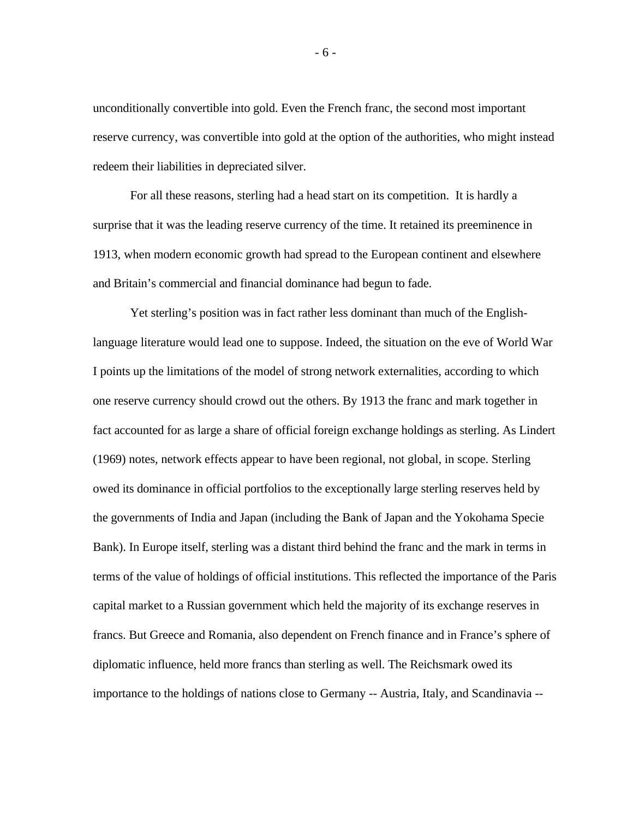unconditionally convertible into gold. Even the French franc, the second most important reserve currency, was convertible into gold at the option of the authorities, who might instead redeem their liabilities in depreciated silver.

For all these reasons, sterling had a head start on its competition. It is hardly a surprise that it was the leading reserve currency of the time. It retained its preeminence in 1913, when modern economic growth had spread to the European continent and elsewhere and Britain's commercial and financial dominance had begun to fade.

Yet sterling's position was in fact rather less dominant than much of the Englishlanguage literature would lead one to suppose. Indeed, the situation on the eve of World War I points up the limitations of the model of strong network externalities, according to which one reserve currency should crowd out the others. By 1913 the franc and mark together in fact accounted for as large a share of official foreign exchange holdings as sterling. As Lindert (1969) notes, network effects appear to have been regional, not global, in scope. Sterling owed its dominance in official portfolios to the exceptionally large sterling reserves held by the governments of India and Japan (including the Bank of Japan and the Yokohama Specie Bank). In Europe itself, sterling was a distant third behind the franc and the mark in terms in terms of the value of holdings of official institutions. This reflected the importance of the Paris capital market to a Russian government which held the majority of its exchange reserves in francs. But Greece and Romania, also dependent on French finance and in France's sphere of diplomatic influence, held more francs than sterling as well. The Reichsmark owed its importance to the holdings of nations close to Germany -- Austria, Italy, and Scandinavia --

- 6 -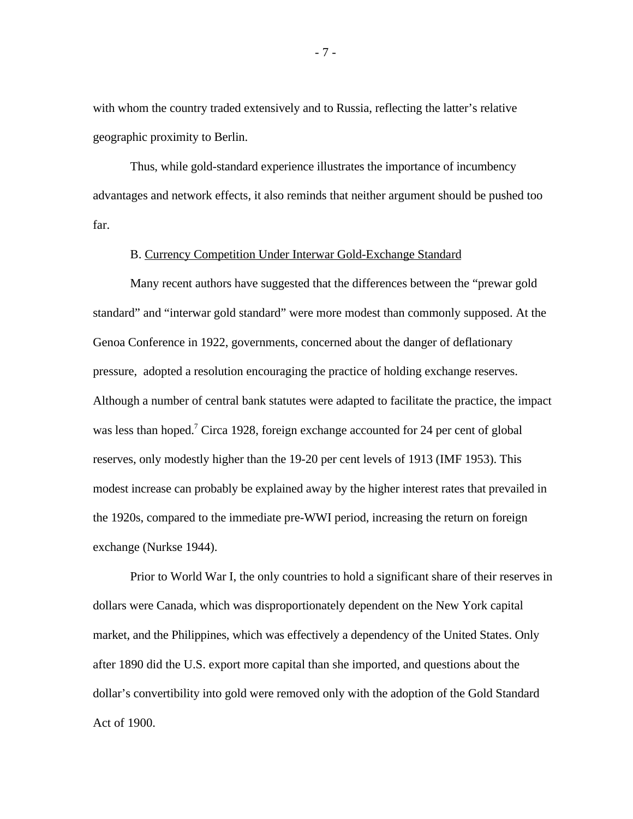with whom the country traded extensively and to Russia, reflecting the latter's relative geographic proximity to Berlin.

Thus, while gold-standard experience illustrates the importance of incumbency advantages and network effects, it also reminds that neither argument should be pushed too far.

# B. Currency Competition Under Interwar Gold-Exchange Standard

Many recent authors have suggested that the differences between the "prewar gold standard" and "interwar gold standard" were more modest than commonly supposed. At the Genoa Conference in 1922, governments, concerned about the danger of deflationary pressure, adopted a resolution encouraging the practice of holding exchange reserves. Although a number of central bank statutes were adapted to facilitate the practice, the impact was less than hoped.<sup>7</sup> Circa 1928, foreign exchange accounted for 24 per cent of global reserves, only modestly higher than the 19-20 per cent levels of 1913 (IMF 1953). This modest increase can probably be explained away by the higher interest rates that prevailed in the 1920s, compared to the immediate pre-WWI period, increasing the return on foreign exchange (Nurkse 1944).

Prior to World War I, the only countries to hold a significant share of their reserves in dollars were Canada, which was disproportionately dependent on the New York capital market, and the Philippines, which was effectively a dependency of the United States. Only after 1890 did the U.S. export more capital than she imported, and questions about the dollar's convertibility into gold were removed only with the adoption of the Gold Standard Act of 1900.

- 7 -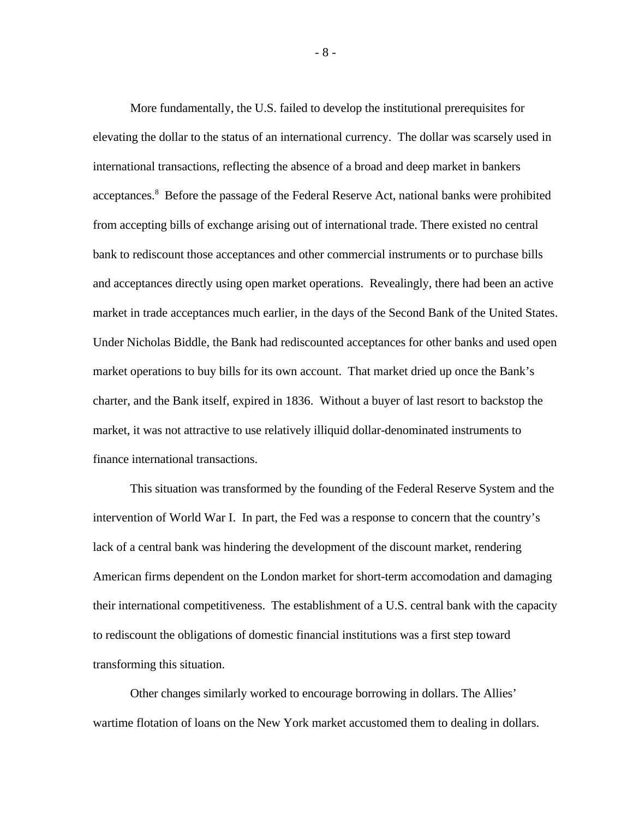More fundamentally, the U.S. failed to develop the institutional prerequisites for elevating the dollar to the status of an international currency. The dollar was scarsely used in international transactions, reflecting the absence of a broad and deep market in bankers acceptances.<sup>8</sup> Before the passage of the Federal Reserve Act, national banks were prohibited from accepting bills of exchange arising out of international trade. There existed no central bank to rediscount those acceptances and other commercial instruments or to purchase bills and acceptances directly using open market operations. Revealingly, there had been an active market in trade acceptances much earlier, in the days of the Second Bank of the United States. Under Nicholas Biddle, the Bank had rediscounted acceptances for other banks and used open market operations to buy bills for its own account. That market dried up once the Bank's charter, and the Bank itself, expired in 1836. Without a buyer of last resort to backstop the market, it was not attractive to use relatively illiquid dollar-denominated instruments to finance international transactions.

This situation was transformed by the founding of the Federal Reserve System and the intervention of World War I. In part, the Fed was a response to concern that the country's lack of a central bank was hindering the development of the discount market, rendering American firms dependent on the London market for short-term accomodation and damaging their international competitiveness. The establishment of a U.S. central bank with the capacity to rediscount the obligations of domestic financial institutions was a first step toward transforming this situation.

Other changes similarly worked to encourage borrowing in dollars. The Allies' wartime flotation of loans on the New York market accustomed them to dealing in dollars.

- 8 -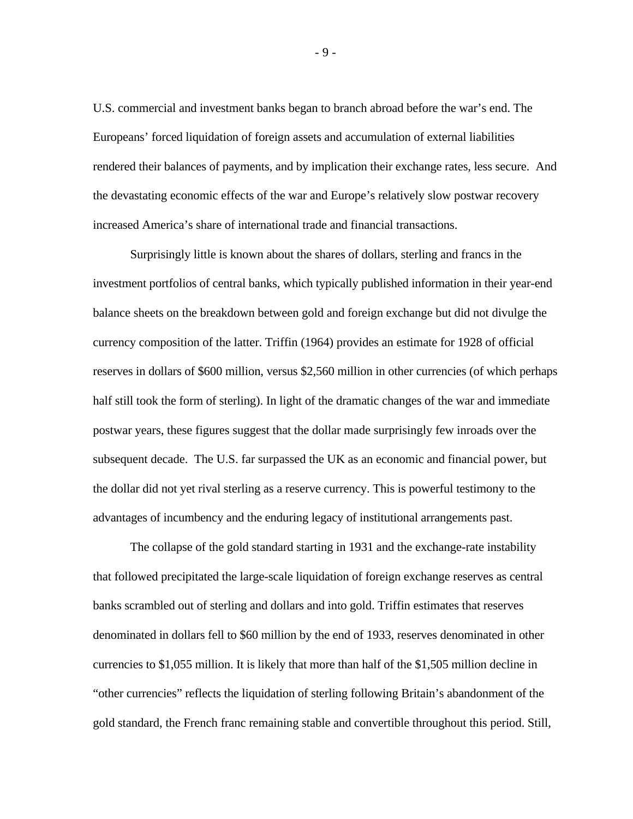U.S. commercial and investment banks began to branch abroad before the war's end. The Europeans' forced liquidation of foreign assets and accumulation of external liabilities rendered their balances of payments, and by implication their exchange rates, less secure. And the devastating economic effects of the war and Europe's relatively slow postwar recovery increased America's share of international trade and financial transactions.

Surprisingly little is known about the shares of dollars, sterling and francs in the investment portfolios of central banks, which typically published information in their year-end balance sheets on the breakdown between gold and foreign exchange but did not divulge the currency composition of the latter. Triffin (1964) provides an estimate for 1928 of official reserves in dollars of \$600 million, versus \$2,560 million in other currencies (of which perhaps half still took the form of sterling). In light of the dramatic changes of the war and immediate postwar years, these figures suggest that the dollar made surprisingly few inroads over the subsequent decade. The U.S. far surpassed the UK as an economic and financial power, but the dollar did not yet rival sterling as a reserve currency. This is powerful testimony to the advantages of incumbency and the enduring legacy of institutional arrangements past.

The collapse of the gold standard starting in 1931 and the exchange-rate instability that followed precipitated the large-scale liquidation of foreign exchange reserves as central banks scrambled out of sterling and dollars and into gold. Triffin estimates that reserves denominated in dollars fell to \$60 million by the end of 1933, reserves denominated in other currencies to \$1,055 million. It is likely that more than half of the \$1,505 million decline in "other currencies" reflects the liquidation of sterling following Britain's abandonment of the gold standard, the French franc remaining stable and convertible throughout this period. Still,

- 9 -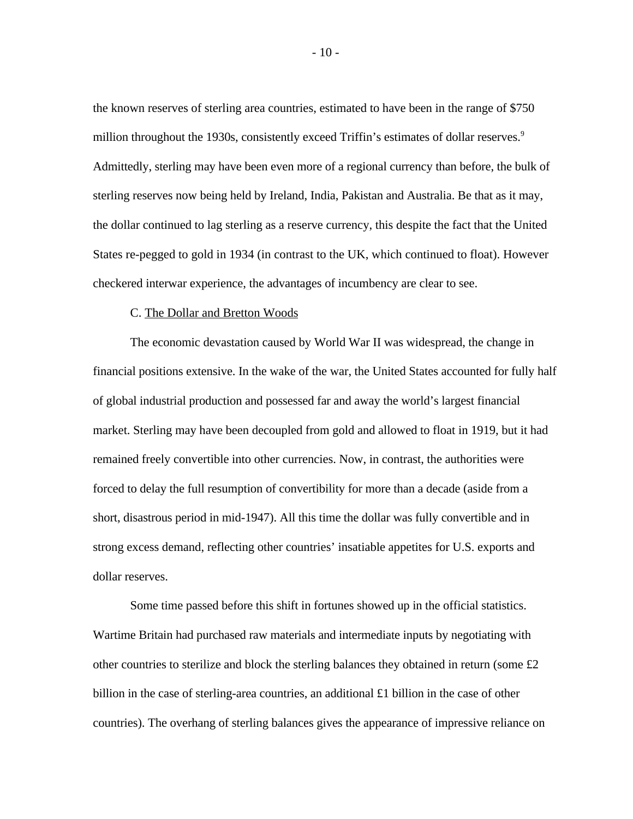the known reserves of sterling area countries, estimated to have been in the range of \$750 million throughout the 1930s, consistently exceed Triffin's estimates of dollar reserves.<sup>9</sup> Admittedly, sterling may have been even more of a regional currency than before, the bulk of sterling reserves now being held by Ireland, India, Pakistan and Australia. Be that as it may, the dollar continued to lag sterling as a reserve currency, this despite the fact that the United States re-pegged to gold in 1934 (in contrast to the UK, which continued to float). However checkered interwar experience, the advantages of incumbency are clear to see.

# C. The Dollar and Bretton Woods

The economic devastation caused by World War II was widespread, the change in financial positions extensive. In the wake of the war, the United States accounted for fully half of global industrial production and possessed far and away the world's largest financial market. Sterling may have been decoupled from gold and allowed to float in 1919, but it had remained freely convertible into other currencies. Now, in contrast, the authorities were forced to delay the full resumption of convertibility for more than a decade (aside from a short, disastrous period in mid-1947). All this time the dollar was fully convertible and in strong excess demand, reflecting other countries' insatiable appetites for U.S. exports and dollar reserves.

Some time passed before this shift in fortunes showed up in the official statistics. Wartime Britain had purchased raw materials and intermediate inputs by negotiating with other countries to sterilize and block the sterling balances they obtained in return (some £2 billion in the case of sterling-area countries, an additional £1 billion in the case of other countries). The overhang of sterling balances gives the appearance of impressive reliance on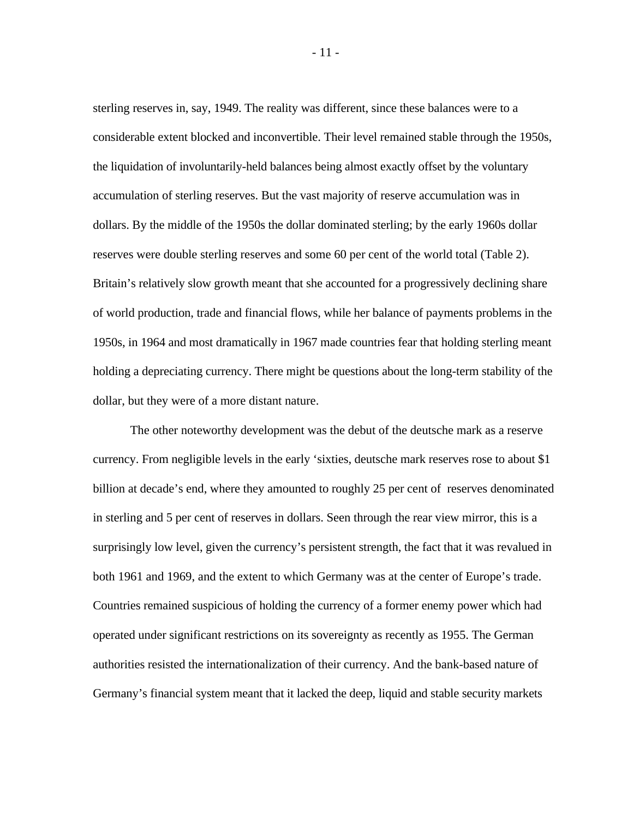sterling reserves in, say, 1949. The reality was different, since these balances were to a considerable extent blocked and inconvertible. Their level remained stable through the 1950s, the liquidation of involuntarily-held balances being almost exactly offset by the voluntary accumulation of sterling reserves. But the vast majority of reserve accumulation was in dollars. By the middle of the 1950s the dollar dominated sterling; by the early 1960s dollar reserves were double sterling reserves and some 60 per cent of the world total (Table 2). Britain's relatively slow growth meant that she accounted for a progressively declining share of world production, trade and financial flows, while her balance of payments problems in the 1950s, in 1964 and most dramatically in 1967 made countries fear that holding sterling meant holding a depreciating currency. There might be questions about the long-term stability of the dollar, but they were of a more distant nature.

The other noteworthy development was the debut of the deutsche mark as a reserve currency. From negligible levels in the early 'sixties, deutsche mark reserves rose to about \$1 billion at decade's end, where they amounted to roughly 25 per cent of reserves denominated in sterling and 5 per cent of reserves in dollars. Seen through the rear view mirror, this is a surprisingly low level, given the currency's persistent strength, the fact that it was revalued in both 1961 and 1969, and the extent to which Germany was at the center of Europe's trade. Countries remained suspicious of holding the currency of a former enemy power which had operated under significant restrictions on its sovereignty as recently as 1955. The German authorities resisted the internationalization of their currency. And the bank-based nature of Germany's financial system meant that it lacked the deep, liquid and stable security markets

- 11 -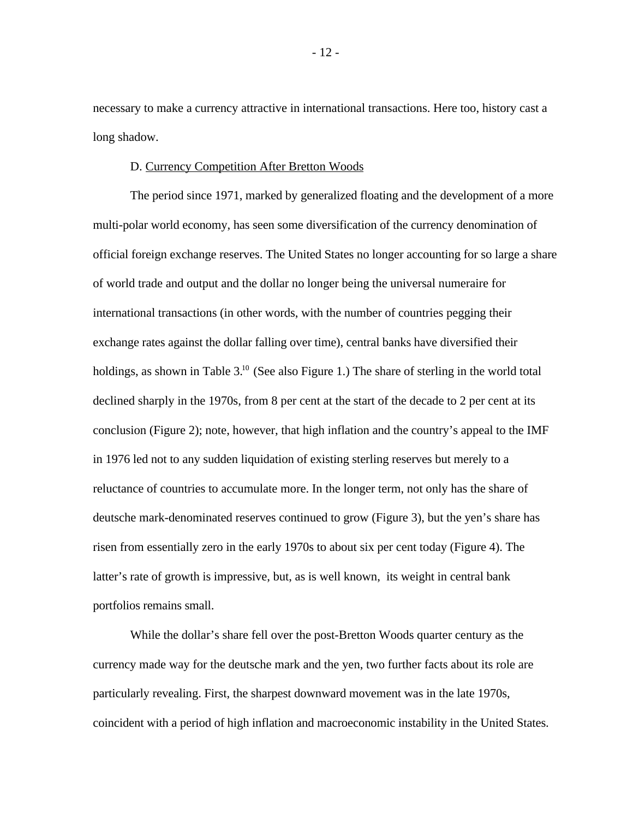necessary to make a currency attractive in international transactions. Here too, history cast a long shadow.

# D. Currency Competition After Bretton Woods

The period since 1971, marked by generalized floating and the development of a more multi-polar world economy, has seen some diversification of the currency denomination of official foreign exchange reserves. The United States no longer accounting for so large a share of world trade and output and the dollar no longer being the universal numeraire for international transactions (in other words, with the number of countries pegging their exchange rates against the dollar falling over time), central banks have diversified their holdings, as shown in Table  $3<sup>10</sup>$  (See also Figure 1.) The share of sterling in the world total declined sharply in the 1970s, from 8 per cent at the start of the decade to 2 per cent at its conclusion (Figure 2); note, however, that high inflation and the country's appeal to the IMF in 1976 led not to any sudden liquidation of existing sterling reserves but merely to a reluctance of countries to accumulate more. In the longer term, not only has the share of deutsche mark-denominated reserves continued to grow (Figure 3), but the yen's share has risen from essentially zero in the early 1970s to about six per cent today (Figure 4). The latter's rate of growth is impressive, but, as is well known, its weight in central bank portfolios remains small.

While the dollar's share fell over the post-Bretton Woods quarter century as the currency made way for the deutsche mark and the yen, two further facts about its role are particularly revealing. First, the sharpest downward movement was in the late 1970s, coincident with a period of high inflation and macroeconomic instability in the United States.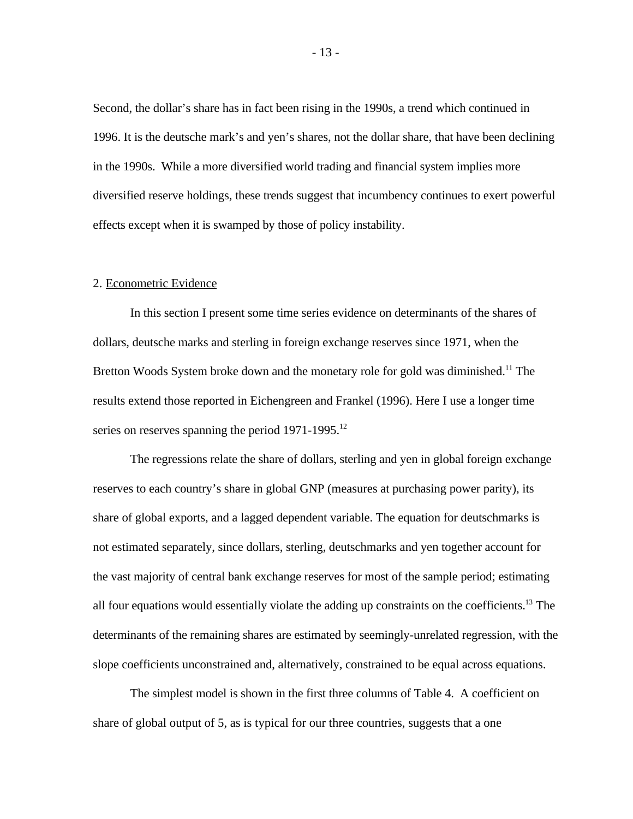Second, the dollar's share has in fact been rising in the 1990s, a trend which continued in 1996. It is the deutsche mark's and yen's shares, not the dollar share, that have been declining in the 1990s. While a more diversified world trading and financial system implies more diversified reserve holdings, these trends suggest that incumbency continues to exert powerful effects except when it is swamped by those of policy instability.

# 2. Econometric Evidence

In this section I present some time series evidence on determinants of the shares of dollars, deutsche marks and sterling in foreign exchange reserves since 1971, when the Bretton Woods System broke down and the monetary role for gold was diminished.<sup>11</sup> The results extend those reported in Eichengreen and Frankel (1996). Here I use a longer time series on reserves spanning the period 1971-1995.<sup>12</sup>

The regressions relate the share of dollars, sterling and yen in global foreign exchange reserves to each country's share in global GNP (measures at purchasing power parity), its share of global exports, and a lagged dependent variable. The equation for deutschmarks is not estimated separately, since dollars, sterling, deutschmarks and yen together account for the vast majority of central bank exchange reserves for most of the sample period; estimating all four equations would essentially violate the adding up constraints on the coefficients.<sup>13</sup> The determinants of the remaining shares are estimated by seemingly-unrelated regression, with the slope coefficients unconstrained and, alternatively, constrained to be equal across equations.

The simplest model is shown in the first three columns of Table 4. A coefficient on share of global output of 5, as is typical for our three countries, suggests that a one

- 13 -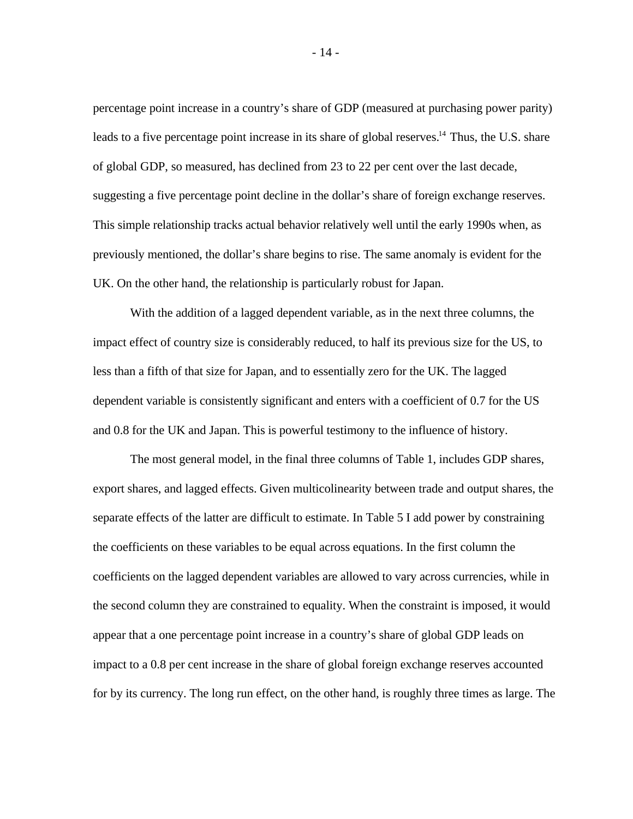percentage point increase in a country's share of GDP (measured at purchasing power parity) leads to a five percentage point increase in its share of global reserves.<sup>14</sup> Thus, the U.S. share of global GDP, so measured, has declined from 23 to 22 per cent over the last decade, suggesting a five percentage point decline in the dollar's share of foreign exchange reserves. This simple relationship tracks actual behavior relatively well until the early 1990s when, as previously mentioned, the dollar's share begins to rise. The same anomaly is evident for the UK. On the other hand, the relationship is particularly robust for Japan.

With the addition of a lagged dependent variable, as in the next three columns, the impact effect of country size is considerably reduced, to half its previous size for the US, to less than a fifth of that size for Japan, and to essentially zero for the UK. The lagged dependent variable is consistently significant and enters with a coefficient of 0.7 for the US and 0.8 for the UK and Japan. This is powerful testimony to the influence of history.

The most general model, in the final three columns of Table 1, includes GDP shares, export shares, and lagged effects. Given multicolinearity between trade and output shares, the separate effects of the latter are difficult to estimate. In Table 5 I add power by constraining the coefficients on these variables to be equal across equations. In the first column the coefficients on the lagged dependent variables are allowed to vary across currencies, while in the second column they are constrained to equality. When the constraint is imposed, it would appear that a one percentage point increase in a country's share of global GDP leads on impact to a 0.8 per cent increase in the share of global foreign exchange reserves accounted for by its currency. The long run effect, on the other hand, is roughly three times as large. The

- 14 -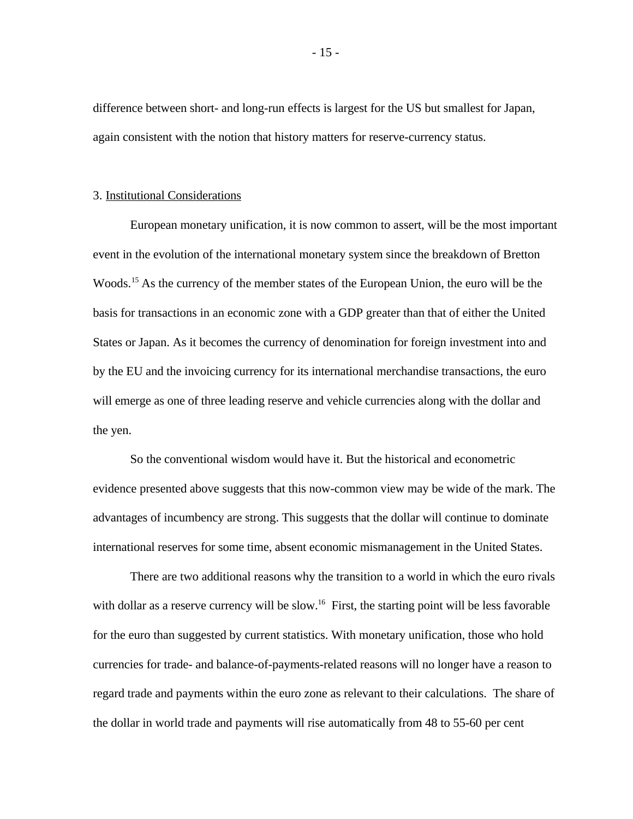difference between short- and long-run effects is largest for the US but smallest for Japan, again consistent with the notion that history matters for reserve-currency status.

#### 3. Institutional Considerations

European monetary unification, it is now common to assert, will be the most important event in the evolution of the international monetary system since the breakdown of Bretton Woods.<sup>15</sup> As the currency of the member states of the European Union, the euro will be the basis for transactions in an economic zone with a GDP greater than that of either the United States or Japan. As it becomes the currency of denomination for foreign investment into and by the EU and the invoicing currency for its international merchandise transactions, the euro will emerge as one of three leading reserve and vehicle currencies along with the dollar and the yen.

So the conventional wisdom would have it. But the historical and econometric evidence presented above suggests that this now-common view may be wide of the mark. The advantages of incumbency are strong. This suggests that the dollar will continue to dominate international reserves for some time, absent economic mismanagement in the United States.

There are two additional reasons why the transition to a world in which the euro rivals with dollar as a reserve currency will be slow.<sup>16</sup> First, the starting point will be less favorable for the euro than suggested by current statistics. With monetary unification, those who hold currencies for trade- and balance-of-payments-related reasons will no longer have a reason to regard trade and payments within the euro zone as relevant to their calculations. The share of the dollar in world trade and payments will rise automatically from 48 to 55-60 per cent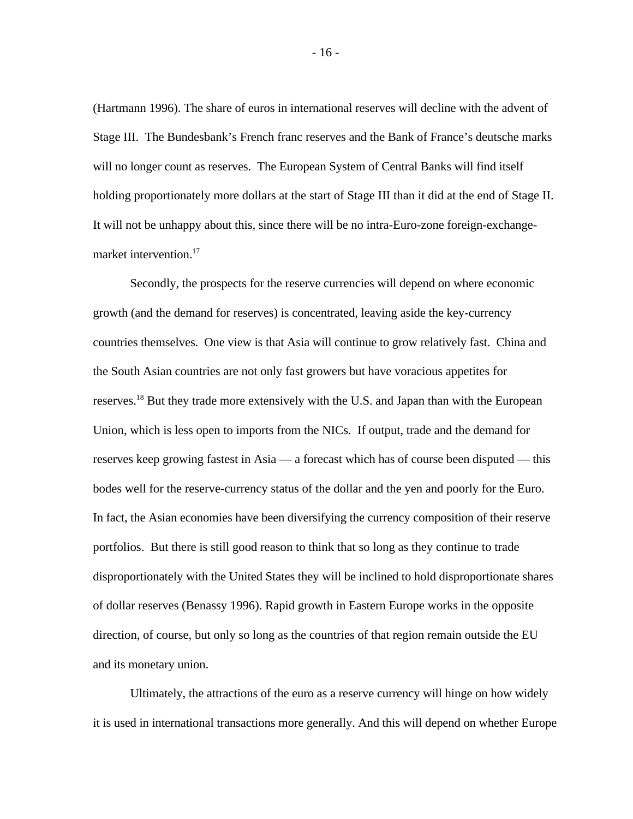(Hartmann 1996). The share of euros in international reserves will decline with the advent of Stage III. The Bundesbank's French franc reserves and the Bank of France's deutsche marks will no longer count as reserves. The European System of Central Banks will find itself holding proportionately more dollars at the start of Stage III than it did at the end of Stage II. It will not be unhappy about this, since there will be no intra-Euro-zone foreign-exchangemarket intervention.<sup>17</sup>

Secondly, the prospects for the reserve currencies will depend on where economic growth (and the demand for reserves) is concentrated, leaving aside the key-currency countries themselves. One view is that Asia will continue to grow relatively fast. China and the South Asian countries are not only fast growers but have voracious appetites for reserves.<sup>18</sup> But they trade more extensively with the U.S. and Japan than with the European Union, which is less open to imports from the NICs. If output, trade and the demand for reserves keep growing fastest in Asia — a forecast which has of course been disputed — this bodes well for the reserve-currency status of the dollar and the yen and poorly for the Euro. In fact, the Asian economies have been diversifying the currency composition of their reserve portfolios. But there is still good reason to think that so long as they continue to trade disproportionately with the United States they will be inclined to hold disproportionate shares of dollar reserves (Benassy 1996). Rapid growth in Eastern Europe works in the opposite direction, of course, but only so long as the countries of that region remain outside the EU and its monetary union.

Ultimately, the attractions of the euro as a reserve currency will hinge on how widely it is used in international transactions more generally. And this will depend on whether Europe

- 16 -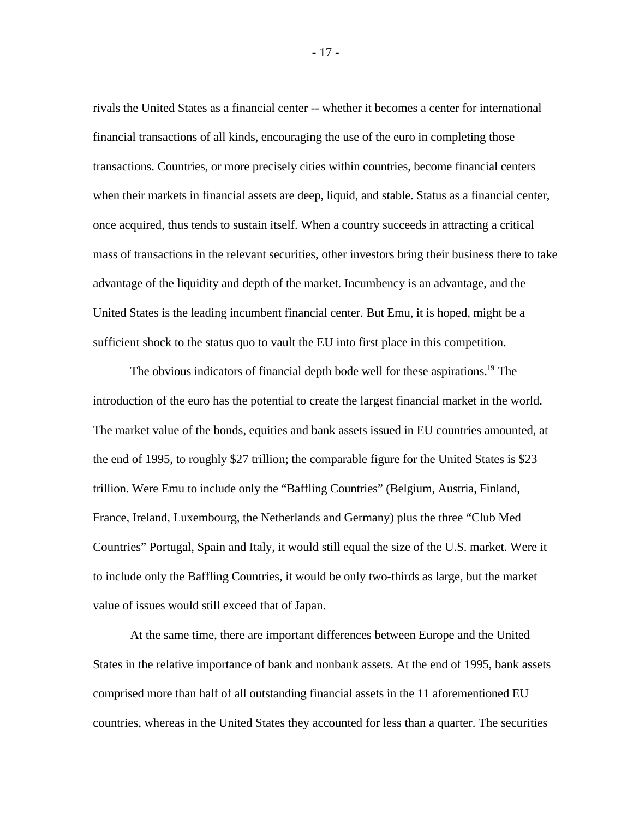rivals the United States as a financial center -- whether it becomes a center for international financial transactions of all kinds, encouraging the use of the euro in completing those transactions. Countries, or more precisely cities within countries, become financial centers when their markets in financial assets are deep, liquid, and stable. Status as a financial center, once acquired, thus tends to sustain itself. When a country succeeds in attracting a critical mass of transactions in the relevant securities, other investors bring their business there to take advantage of the liquidity and depth of the market. Incumbency is an advantage, and the United States is the leading incumbent financial center. But Emu, it is hoped, might be a sufficient shock to the status quo to vault the EU into first place in this competition.

The obvious indicators of financial depth bode well for these aspirations.<sup>19</sup> The introduction of the euro has the potential to create the largest financial market in the world. The market value of the bonds, equities and bank assets issued in EU countries amounted, at the end of 1995, to roughly \$27 trillion; the comparable figure for the United States is \$23 trillion. Were Emu to include only the "Baffling Countries" (Belgium, Austria, Finland, France, Ireland, Luxembourg, the Netherlands and Germany) plus the three "Club Med Countries" Portugal, Spain and Italy, it would still equal the size of the U.S. market. Were it to include only the Baffling Countries, it would be only two-thirds as large, but the market value of issues would still exceed that of Japan.

At the same time, there are important differences between Europe and the United States in the relative importance of bank and nonbank assets. At the end of 1995, bank assets comprised more than half of all outstanding financial assets in the 11 aforementioned EU countries, whereas in the United States they accounted for less than a quarter. The securities

- 17 -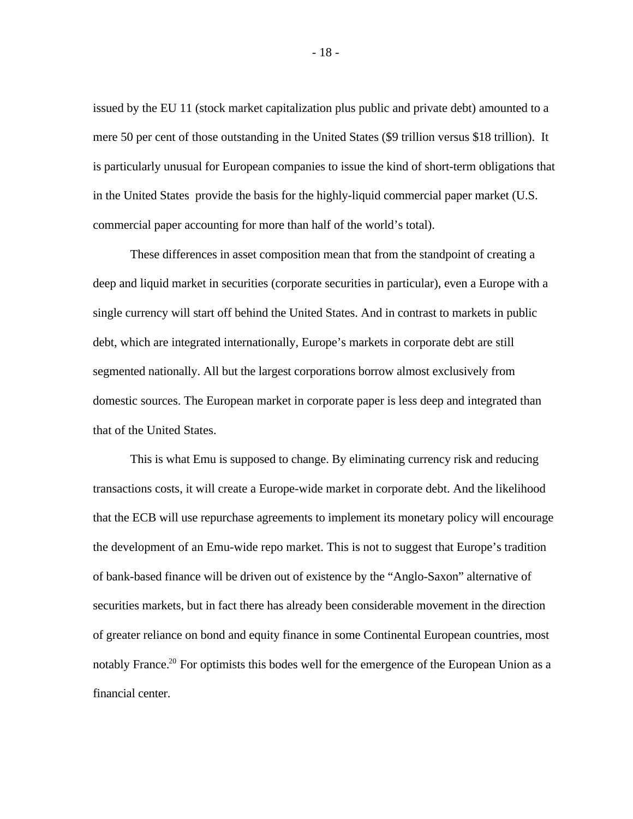issued by the EU 11 (stock market capitalization plus public and private debt) amounted to a mere 50 per cent of those outstanding in the United States (\$9 trillion versus \$18 trillion). It is particularly unusual for European companies to issue the kind of short-term obligations that in the United States provide the basis for the highly-liquid commercial paper market (U.S. commercial paper accounting for more than half of the world's total).

These differences in asset composition mean that from the standpoint of creating a deep and liquid market in securities (corporate securities in particular), even a Europe with a single currency will start off behind the United States. And in contrast to markets in public debt, which are integrated internationally, Europe's markets in corporate debt are still segmented nationally. All but the largest corporations borrow almost exclusively from domestic sources. The European market in corporate paper is less deep and integrated than that of the United States.

This is what Emu is supposed to change. By eliminating currency risk and reducing transactions costs, it will create a Europe-wide market in corporate debt. And the likelihood that the ECB will use repurchase agreements to implement its monetary policy will encourage the development of an Emu-wide repo market. This is not to suggest that Europe's tradition of bank-based finance will be driven out of existence by the "Anglo-Saxon" alternative of securities markets, but in fact there has already been considerable movement in the direction of greater reliance on bond and equity finance in some Continental European countries, most notably France.<sup>20</sup> For optimists this bodes well for the emergence of the European Union as a financial center.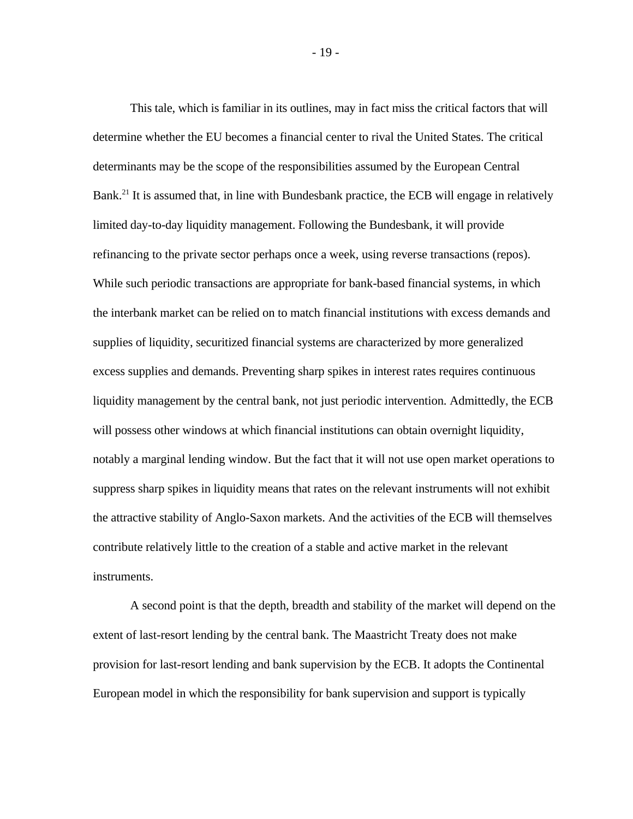This tale, which is familiar in its outlines, may in fact miss the critical factors that will determine whether the EU becomes a financial center to rival the United States. The critical determinants may be the scope of the responsibilities assumed by the European Central Bank.<sup>21</sup> It is assumed that, in line with Bundesbank practice, the ECB will engage in relatively limited day-to-day liquidity management. Following the Bundesbank, it will provide refinancing to the private sector perhaps once a week, using reverse transactions (repos). While such periodic transactions are appropriate for bank-based financial systems, in which the interbank market can be relied on to match financial institutions with excess demands and supplies of liquidity, securitized financial systems are characterized by more generalized excess supplies and demands. Preventing sharp spikes in interest rates requires continuous liquidity management by the central bank, not just periodic intervention. Admittedly, the ECB will possess other windows at which financial institutions can obtain overnight liquidity, notably a marginal lending window. But the fact that it will not use open market operations to suppress sharp spikes in liquidity means that rates on the relevant instruments will not exhibit the attractive stability of Anglo-Saxon markets. And the activities of the ECB will themselves contribute relatively little to the creation of a stable and active market in the relevant instruments.

A second point is that the depth, breadth and stability of the market will depend on the extent of last-resort lending by the central bank. The Maastricht Treaty does not make provision for last-resort lending and bank supervision by the ECB. It adopts the Continental European model in which the responsibility for bank supervision and support is typically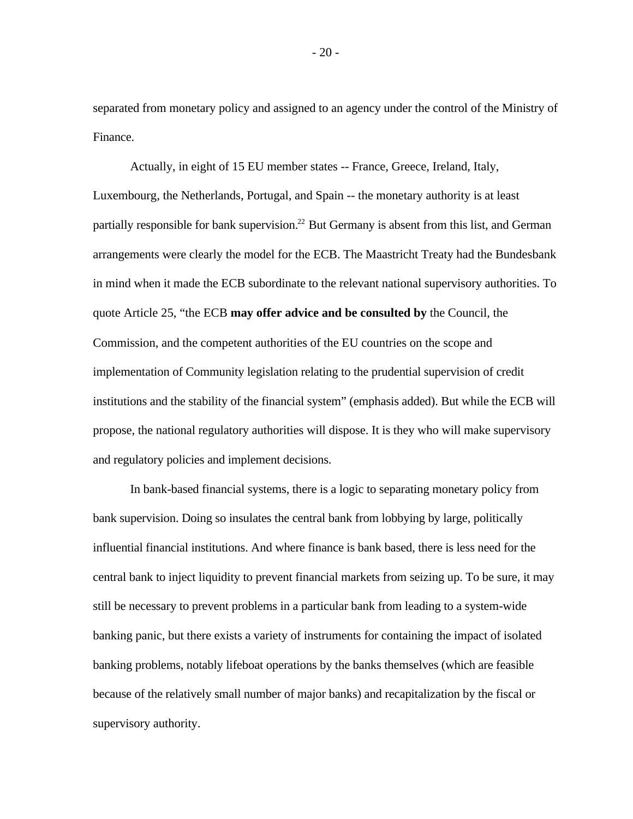separated from monetary policy and assigned to an agency under the control of the Ministry of Finance.

Actually, in eight of 15 EU member states -- France, Greece, Ireland, Italy, Luxembourg, the Netherlands, Portugal, and Spain -- the monetary authority is at least partially responsible for bank supervision.<sup>22</sup> But Germany is absent from this list, and German arrangements were clearly the model for the ECB. The Maastricht Treaty had the Bundesbank in mind when it made the ECB subordinate to the relevant national supervisory authorities. To quote Article 25, "the ECB **may offer advice and be consulted by** the Council, the Commission, and the competent authorities of the EU countries on the scope and implementation of Community legislation relating to the prudential supervision of credit institutions and the stability of the financial system" (emphasis added). But while the ECB will propose, the national regulatory authorities will dispose. It is they who will make supervisory and regulatory policies and implement decisions.

In bank-based financial systems, there is a logic to separating monetary policy from bank supervision. Doing so insulates the central bank from lobbying by large, politically influential financial institutions. And where finance is bank based, there is less need for the central bank to inject liquidity to prevent financial markets from seizing up. To be sure, it may still be necessary to prevent problems in a particular bank from leading to a system-wide banking panic, but there exists a variety of instruments for containing the impact of isolated banking problems, notably lifeboat operations by the banks themselves (which are feasible because of the relatively small number of major banks) and recapitalization by the fiscal or supervisory authority.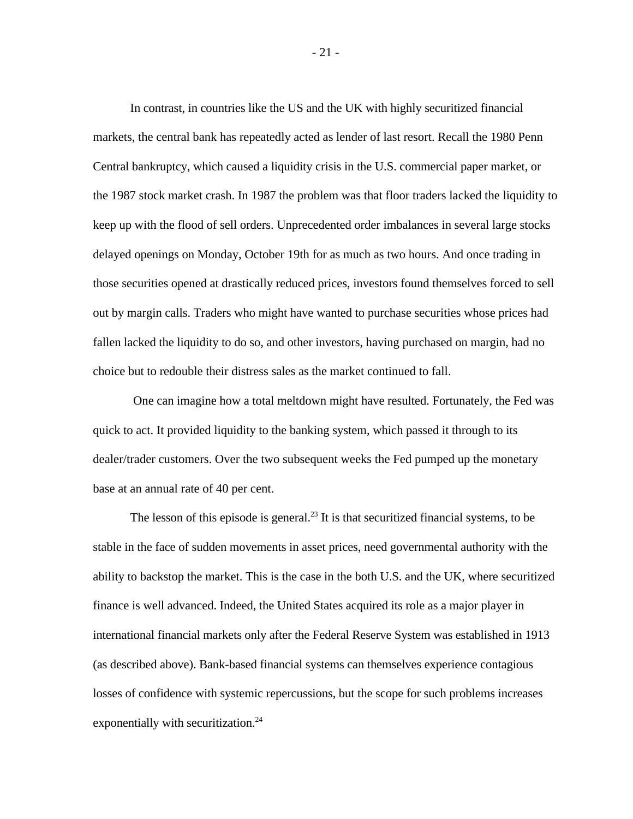In contrast, in countries like the US and the UK with highly securitized financial markets, the central bank has repeatedly acted as lender of last resort. Recall the 1980 Penn Central bankruptcy, which caused a liquidity crisis in the U.S. commercial paper market, or the 1987 stock market crash. In 1987 the problem was that floor traders lacked the liquidity to keep up with the flood of sell orders. Unprecedented order imbalances in several large stocks delayed openings on Monday, October 19th for as much as two hours. And once trading in those securities opened at drastically reduced prices, investors found themselves forced to sell out by margin calls. Traders who might have wanted to purchase securities whose prices had fallen lacked the liquidity to do so, and other investors, having purchased on margin, had no choice but to redouble their distress sales as the market continued to fall.

 One can imagine how a total meltdown might have resulted. Fortunately, the Fed was quick to act. It provided liquidity to the banking system, which passed it through to its dealer/trader customers. Over the two subsequent weeks the Fed pumped up the monetary base at an annual rate of 40 per cent.

The lesson of this episode is general.<sup>23</sup> It is that securitized financial systems, to be stable in the face of sudden movements in asset prices, need governmental authority with the ability to backstop the market. This is the case in the both U.S. and the UK, where securitized finance is well advanced. Indeed, the United States acquired its role as a major player in international financial markets only after the Federal Reserve System was established in 1913 (as described above). Bank-based financial systems can themselves experience contagious losses of confidence with systemic repercussions, but the scope for such problems increases exponentially with securitization. $^{24}$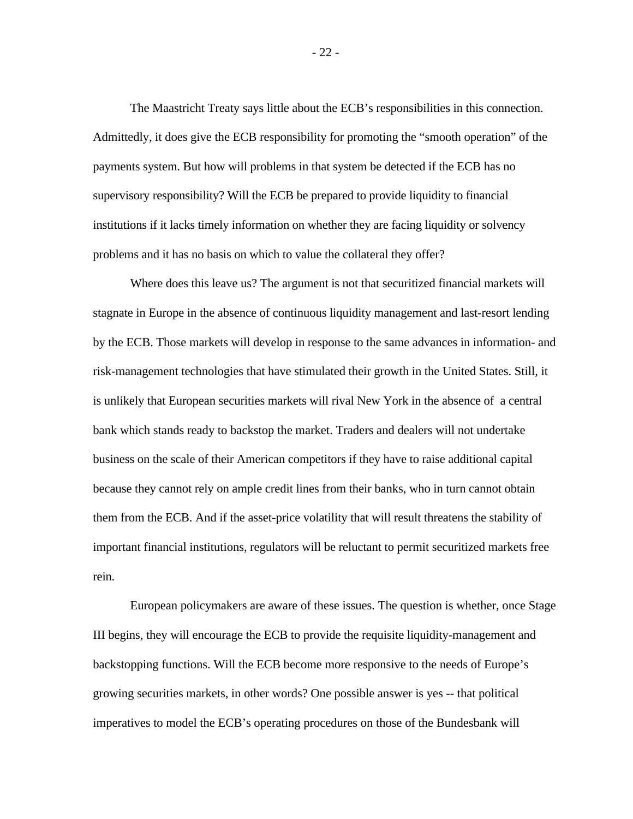The Maastricht Treaty says little about the ECB's responsibilities in this connection. Admittedly, it does give the ECB responsibility for promoting the "smooth operation" of the payments system. But how will problems in that system be detected if the ECB has no supervisory responsibility? Will the ECB be prepared to provide liquidity to financial institutions if it lacks timely information on whether they are facing liquidity or solvency problems and it has no basis on which to value the collateral they offer?

Where does this leave us? The argument is not that securitized financial markets will stagnate in Europe in the absence of continuous liquidity management and last-resort lending by the ECB. Those markets will develop in response to the same advances in information- and risk-management technologies that have stimulated their growth in the United States. Still, it is unlikely that European securities markets will rival New York in the absence of a central bank which stands ready to backstop the market. Traders and dealers will not undertake business on the scale of their American competitors if they have to raise additional capital because they cannot rely on ample credit lines from their banks, who in turn cannot obtain them from the ECB. And if the asset-price volatility that will result threatens the stability of important financial institutions, regulators will be reluctant to permit securitized markets free rein.

European policymakers are aware of these issues. The question is whether, once Stage III begins, they will encourage the ECB to provide the requisite liquidity-management and backstopping functions. Will the ECB become more responsive to the needs of Europe's growing securities markets, in other words? One possible answer is yes -- that political imperatives to model the ECB's operating procedures on those of the Bundesbank will

- 22 -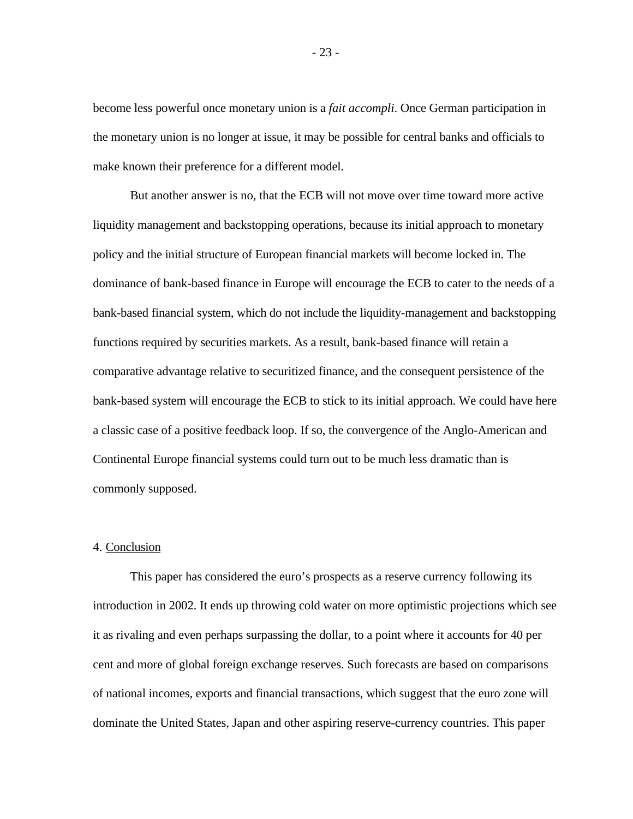become less powerful once monetary union is a *fait accompli*. Once German participation in the monetary union is no longer at issue, it may be possible for central banks and officials to make known their preference for a different model.

But another answer is no, that the ECB will not move over time toward more active liquidity management and backstopping operations, because its initial approach to monetary policy and the initial structure of European financial markets will become locked in. The dominance of bank-based finance in Europe will encourage the ECB to cater to the needs of a bank-based financial system, which do not include the liquidity-management and backstopping functions required by securities markets. As a result, bank-based finance will retain a comparative advantage relative to securitized finance, and the consequent persistence of the bank-based system will encourage the ECB to stick to its initial approach. We could have here a classic case of a positive feedback loop. If so, the convergence of the Anglo-American and Continental Europe financial systems could turn out to be much less dramatic than is commonly supposed.

# 4. Conclusion

This paper has considered the euro's prospects as a reserve currency following its introduction in 2002. It ends up throwing cold water on more optimistic projections which see it as rivaling and even perhaps surpassing the dollar, to a point where it accounts for 40 per cent and more of global foreign exchange reserves. Such forecasts are based on comparisons of national incomes, exports and financial transactions, which suggest that the euro zone will dominate the United States, Japan and other aspiring reserve-currency countries. This paper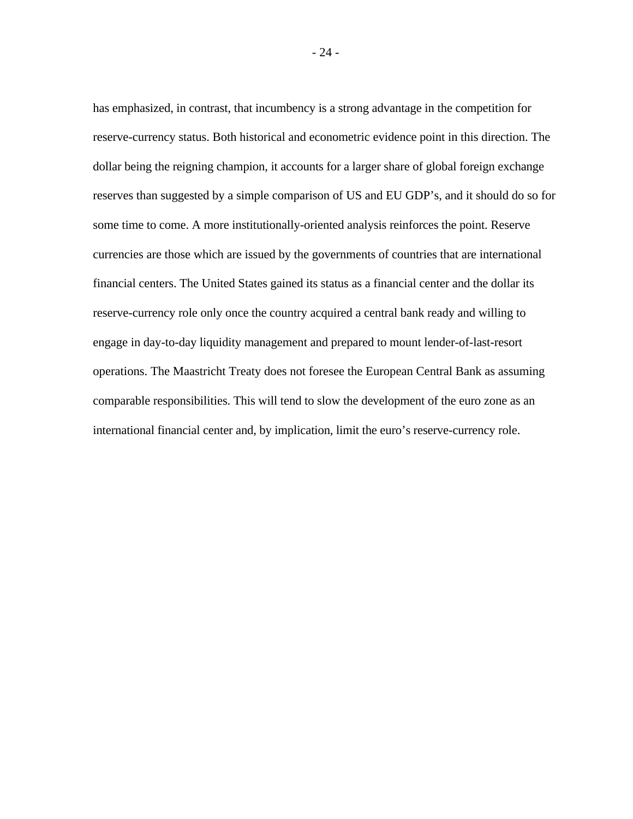has emphasized, in contrast, that incumbency is a strong advantage in the competition for reserve-currency status. Both historical and econometric evidence point in this direction. The dollar being the reigning champion, it accounts for a larger share of global foreign exchange reserves than suggested by a simple comparison of US and EU GDP's, and it should do so for some time to come. A more institutionally-oriented analysis reinforces the point. Reserve currencies are those which are issued by the governments of countries that are international financial centers. The United States gained its status as a financial center and the dollar its reserve-currency role only once the country acquired a central bank ready and willing to engage in day-to-day liquidity management and prepared to mount lender-of-last-resort operations. The Maastricht Treaty does not foresee the European Central Bank as assuming comparable responsibilities. This will tend to slow the development of the euro zone as an international financial center and, by implication, limit the euro's reserve-currency role.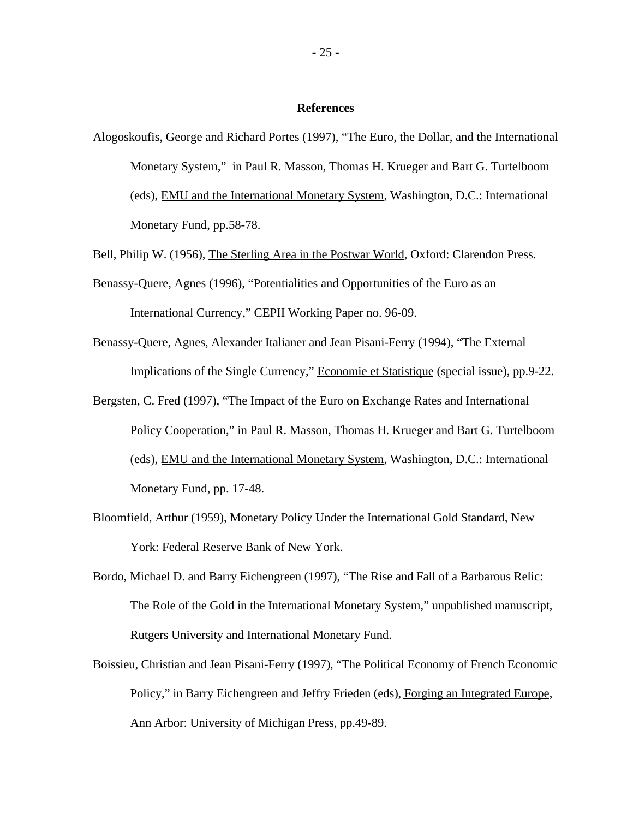## **References**

Alogoskoufis, George and Richard Portes (1997), "The Euro, the Dollar, and the International Monetary System," in Paul R. Masson, Thomas H. Krueger and Bart G. Turtelboom (eds), EMU and the International Monetary System, Washington, D.C.: International Monetary Fund, pp.58-78.

Bell, Philip W. (1956), The Sterling Area in the Postwar World, Oxford: Clarendon Press.

- Benassy-Quere, Agnes (1996), "Potentialities and Opportunities of the Euro as an International Currency," CEPII Working Paper no. 96-09.
- Benassy-Quere, Agnes, Alexander Italianer and Jean Pisani-Ferry (1994), "The External Implications of the Single Currency," Economie et Statistique (special issue), pp.9-22.
- Bergsten, C. Fred (1997), "The Impact of the Euro on Exchange Rates and International Policy Cooperation," in Paul R. Masson, Thomas H. Krueger and Bart G. Turtelboom (eds), EMU and the International Monetary System, Washington, D.C.: International Monetary Fund, pp. 17-48.
- Bloomfield, Arthur (1959), Monetary Policy Under the International Gold Standard, New York: Federal Reserve Bank of New York.
- Bordo, Michael D. and Barry Eichengreen (1997), "The Rise and Fall of a Barbarous Relic: The Role of the Gold in the International Monetary System," unpublished manuscript, Rutgers University and International Monetary Fund.
- Boissieu, Christian and Jean Pisani-Ferry (1997), "The Political Economy of French Economic Policy," in Barry Eichengreen and Jeffry Frieden (eds), Forging an Integrated Europe, Ann Arbor: University of Michigan Press, pp.49-89.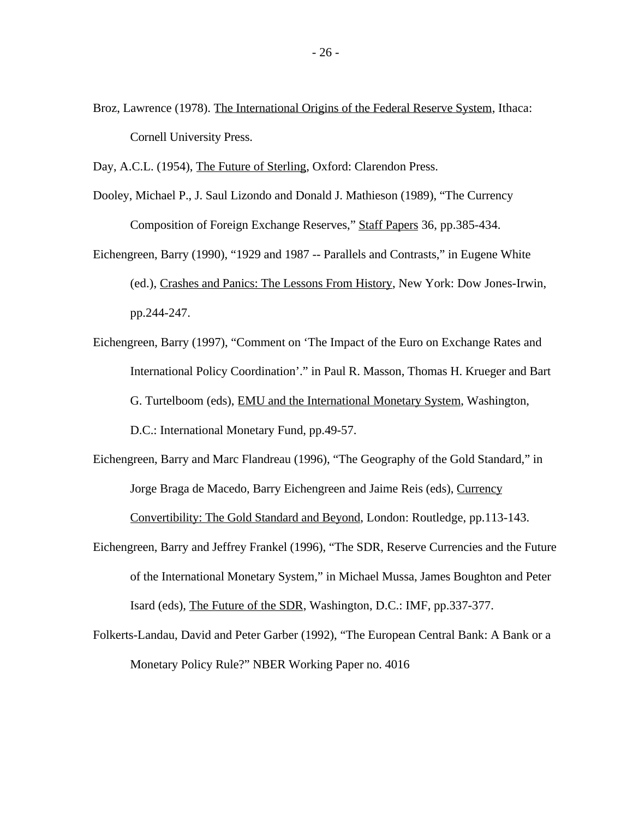Broz, Lawrence (1978). The International Origins of the Federal Reserve System, Ithaca: Cornell University Press.

Day, A.C.L. (1954), The Future of Sterling, Oxford: Clarendon Press.

- Dooley, Michael P., J. Saul Lizondo and Donald J. Mathieson (1989), "The Currency Composition of Foreign Exchange Reserves," Staff Papers 36, pp.385-434.
- Eichengreen, Barry (1990), "1929 and 1987 -- Parallels and Contrasts," in Eugene White (ed.), Crashes and Panics: The Lessons From History, New York: Dow Jones-Irwin, pp.244-247.
- Eichengreen, Barry (1997), "Comment on 'The Impact of the Euro on Exchange Rates and International Policy Coordination'." in Paul R. Masson, Thomas H. Krueger and Bart G. Turtelboom (eds), EMU and the International Monetary System, Washington, D.C.: International Monetary Fund, pp.49-57.
- Eichengreen, Barry and Marc Flandreau (1996), "The Geography of the Gold Standard," in Jorge Braga de Macedo, Barry Eichengreen and Jaime Reis (eds), Currency Convertibility: The Gold Standard and Beyond, London: Routledge, pp.113-143.
- Eichengreen, Barry and Jeffrey Frankel (1996), "The SDR, Reserve Currencies and the Future of the International Monetary System," in Michael Mussa, James Boughton and Peter Isard (eds), The Future of the SDR, Washington, D.C.: IMF, pp.337-377.
- Folkerts-Landau, David and Peter Garber (1992), "The European Central Bank: A Bank or a Monetary Policy Rule?" NBER Working Paper no. 4016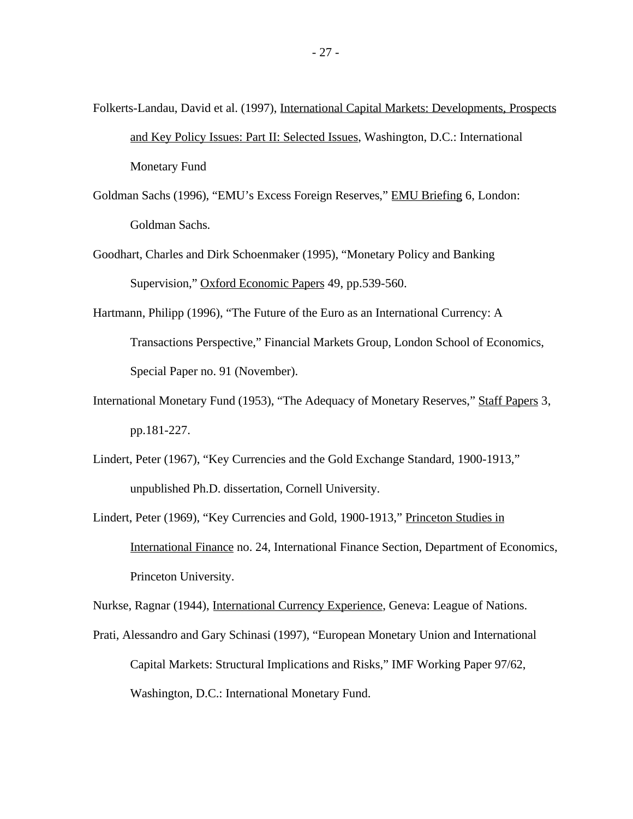- Folkerts-Landau, David et al. (1997), International Capital Markets: Developments, Prospects and Key Policy Issues: Part II: Selected Issues, Washington, D.C.: International Monetary Fund
- Goldman Sachs (1996), "EMU's Excess Foreign Reserves," EMU Briefing 6, London: Goldman Sachs.
- Goodhart, Charles and Dirk Schoenmaker (1995), "Monetary Policy and Banking Supervision," Oxford Economic Papers 49, pp.539-560.
- Hartmann, Philipp (1996), "The Future of the Euro as an International Currency: A Transactions Perspective," Financial Markets Group, London School of Economics, Special Paper no. 91 (November).
- International Monetary Fund (1953), "The Adequacy of Monetary Reserves," Staff Papers 3, pp.181-227.
- Lindert, Peter (1967), "Key Currencies and the Gold Exchange Standard, 1900-1913," unpublished Ph.D. dissertation, Cornell University.
- Lindert, Peter (1969), "Key Currencies and Gold, 1900-1913," Princeton Studies in International Finance no. 24, International Finance Section, Department of Economics, Princeton University.

Nurkse, Ragnar (1944), International Currency Experience, Geneva: League of Nations.

Prati, Alessandro and Gary Schinasi (1997), "European Monetary Union and International Capital Markets: Structural Implications and Risks," IMF Working Paper 97/62, Washington, D.C.: International Monetary Fund.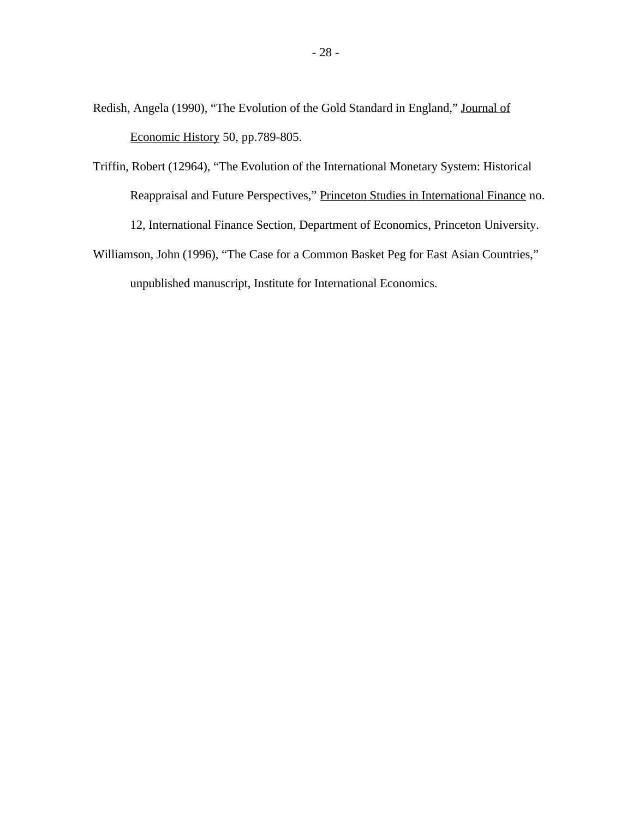Redish, Angela (1990), "The Evolution of the Gold Standard in England," Journal of Economic History 50, pp.789-805.

Triffin, Robert (12964), "The Evolution of the International Monetary System: Historical Reappraisal and Future Perspectives," Princeton Studies in International Finance no. 12, International Finance Section, Department of Economics, Princeton University. Williamson, John (1996), "The Case for a Common Basket Peg for East Asian Countries,"

unpublished manuscript, Institute for International Economics.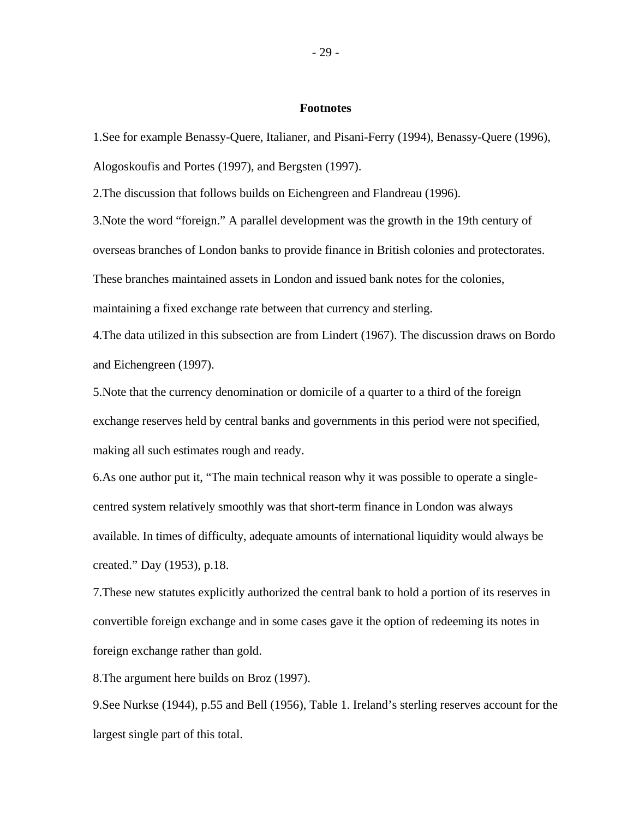#### **Footnotes**

1.See for example Benassy-Quere, Italianer, and Pisani-Ferry (1994), Benassy-Quere (1996),

Alogoskoufis and Portes (1997), and Bergsten (1997).

2.The discussion that follows builds on Eichengreen and Flandreau (1996).

3.Note the word "foreign." A parallel development was the growth in the 19th century of

overseas branches of London banks to provide finance in British colonies and protectorates.

These branches maintained assets in London and issued bank notes for the colonies,

maintaining a fixed exchange rate between that currency and sterling.

4.The data utilized in this subsection are from Lindert (1967). The discussion draws on Bordo and Eichengreen (1997).

5.Note that the currency denomination or domicile of a quarter to a third of the foreign exchange reserves held by central banks and governments in this period were not specified, making all such estimates rough and ready.

6.As one author put it, "The main technical reason why it was possible to operate a singlecentred system relatively smoothly was that short-term finance in London was always available. In times of difficulty, adequate amounts of international liquidity would always be created." Day (1953), p.18.

7.These new statutes explicitly authorized the central bank to hold a portion of its reserves in convertible foreign exchange and in some cases gave it the option of redeeming its notes in foreign exchange rather than gold.

8.The argument here builds on Broz (1997).

9.See Nurkse (1944), p.55 and Bell (1956), Table 1. Ireland's sterling reserves account for the largest single part of this total.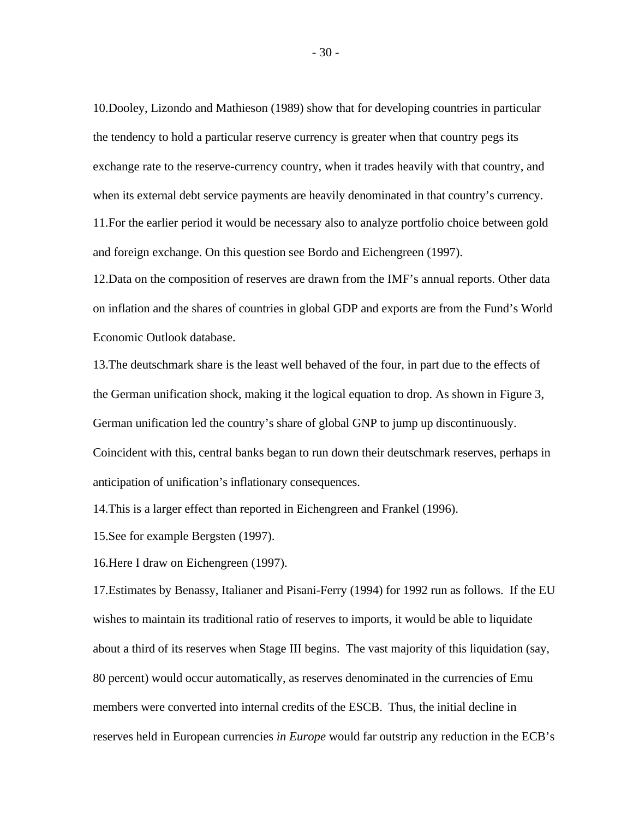10.Dooley, Lizondo and Mathieson (1989) show that for developing countries in particular the tendency to hold a particular reserve currency is greater when that country pegs its exchange rate to the reserve-currency country, when it trades heavily with that country, and when its external debt service payments are heavily denominated in that country's currency. 11.For the earlier period it would be necessary also to analyze portfolio choice between gold and foreign exchange. On this question see Bordo and Eichengreen (1997).

12.Data on the composition of reserves are drawn from the IMF's annual reports. Other data on inflation and the shares of countries in global GDP and exports are from the Fund's World Economic Outlook database.

13.The deutschmark share is the least well behaved of the four, in part due to the effects of the German unification shock, making it the logical equation to drop. As shown in Figure 3, German unification led the country's share of global GNP to jump up discontinuously. Coincident with this, central banks began to run down their deutschmark reserves, perhaps in anticipation of unification's inflationary consequences.

14.This is a larger effect than reported in Eichengreen and Frankel (1996).

15.See for example Bergsten (1997).

16.Here I draw on Eichengreen (1997).

17.Estimates by Benassy, Italianer and Pisani-Ferry (1994) for 1992 run as follows. If the EU wishes to maintain its traditional ratio of reserves to imports, it would be able to liquidate about a third of its reserves when Stage III begins. The vast majority of this liquidation (say, 80 percent) would occur automatically, as reserves denominated in the currencies of Emu members were converted into internal credits of the ESCB. Thus, the initial decline in reserves held in European currencies *in Europe* would far outstrip any reduction in the ECB's